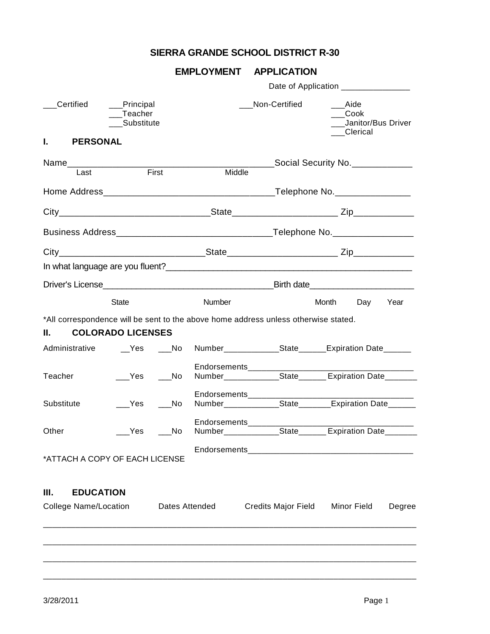# **SIERRA GRANDE SCHOOL DISTRICT R-30**

## **EMPLOYMENT APPLICATION**

|                                                        |              | Date of Application ________________                                              |                                                     |                                                                                                                                                                                                                                                                                                                                                                                                                                                 |  |  |  |
|--------------------------------------------------------|--------------|-----------------------------------------------------------------------------------|-----------------------------------------------------|-------------------------------------------------------------------------------------------------------------------------------------------------------------------------------------------------------------------------------------------------------------------------------------------------------------------------------------------------------------------------------------------------------------------------------------------------|--|--|--|
| Certified<br>__Principal<br>_Teacher<br>Substitute     |              |                                                                                   |                                                     | Aide<br>Cook<br>Janitor/Bus Driver<br>__Clerical                                                                                                                                                                                                                                                                                                                                                                                                |  |  |  |
| <b>PERSONAL</b>                                        |              |                                                                                   |                                                     |                                                                                                                                                                                                                                                                                                                                                                                                                                                 |  |  |  |
| Name___________________                                |              |                                                                                   |                                                     | Social Security No. _____________                                                                                                                                                                                                                                                                                                                                                                                                               |  |  |  |
|                                                        |              |                                                                                   |                                                     |                                                                                                                                                                                                                                                                                                                                                                                                                                                 |  |  |  |
|                                                        |              |                                                                                   |                                                     |                                                                                                                                                                                                                                                                                                                                                                                                                                                 |  |  |  |
|                                                        |              |                                                                                   |                                                     |                                                                                                                                                                                                                                                                                                                                                                                                                                                 |  |  |  |
|                                                        |              |                                                                                   |                                                     |                                                                                                                                                                                                                                                                                                                                                                                                                                                 |  |  |  |
|                                                        |              |                                                                                   |                                                     |                                                                                                                                                                                                                                                                                                                                                                                                                                                 |  |  |  |
|                                                        |              |                                                                                   |                                                     |                                                                                                                                                                                                                                                                                                                                                                                                                                                 |  |  |  |
|                                                        |              |                                                                                   |                                                     | Month<br>Day<br>Year                                                                                                                                                                                                                                                                                                                                                                                                                            |  |  |  |
|                                                        |              |                                                                                   |                                                     |                                                                                                                                                                                                                                                                                                                                                                                                                                                 |  |  |  |
|                                                        | No.          |                                                                                   |                                                     |                                                                                                                                                                                                                                                                                                                                                                                                                                                 |  |  |  |
|                                                        | ___No        |                                                                                   |                                                     |                                                                                                                                                                                                                                                                                                                                                                                                                                                 |  |  |  |
| Yes                                                    | No.          |                                                                                   |                                                     |                                                                                                                                                                                                                                                                                                                                                                                                                                                 |  |  |  |
|                                                        |              |                                                                                   |                                                     |                                                                                                                                                                                                                                                                                                                                                                                                                                                 |  |  |  |
|                                                        |              |                                                                                   |                                                     |                                                                                                                                                                                                                                                                                                                                                                                                                                                 |  |  |  |
| Ш.<br><b>EDUCATION</b><br><b>College Name/Location</b> |              |                                                                                   |                                                     | <b>Minor Field</b><br>Degree                                                                                                                                                                                                                                                                                                                                                                                                                    |  |  |  |
|                                                        |              |                                                                                   |                                                     |                                                                                                                                                                                                                                                                                                                                                                                                                                                 |  |  |  |
|                                                        |              |                                                                                   |                                                     |                                                                                                                                                                                                                                                                                                                                                                                                                                                 |  |  |  |
|                                                        | <b>State</b> | First<br><b>COLORADO LICENSES</b><br>Yes<br>Yes<br>*ATTACH A COPY OF EACH LICENSE | Number<br>Administrative  Yes  No<br>Dates Attended | Non-Certified<br>Middle<br>*All correspondence will be sent to the above home address unless otherwise stated.<br>Number______________State_______Expiration Date______<br>Number<br>State<br>State<br>Expiration Date<br>Endorsements_______________________<br>Number_______________State________Expiration Date_______<br>Endorsements__________<br>Number _______________State________Expiration Date________<br><b>Credits Major Field</b> |  |  |  |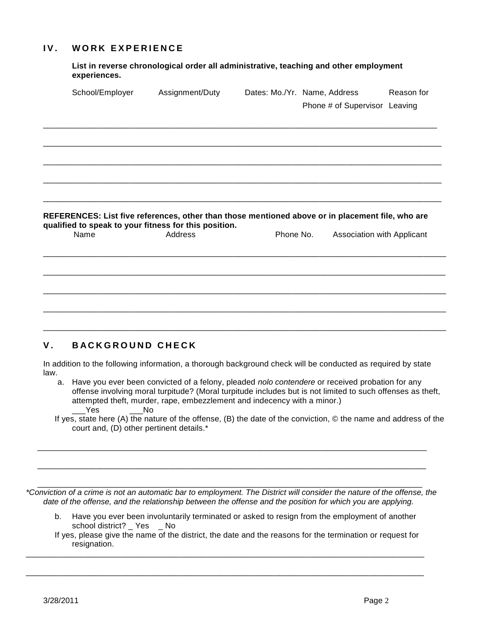### **IV.** WORK EXPERIENCE

**List in reverse chronological order all administrative, teaching and other employment experiences.**

| School/Employer                                                                                  | Assignment/Duty | Dates: Mo./Yr. Name, Address |           | Phone # of Supervisor Leaving | Reason for |
|--------------------------------------------------------------------------------------------------|-----------------|------------------------------|-----------|-------------------------------|------------|
|                                                                                                  |                 |                              |           |                               |            |
|                                                                                                  |                 |                              |           |                               |            |
|                                                                                                  |                 |                              |           |                               |            |
|                                                                                                  |                 |                              |           |                               |            |
| REFERENCES: List five references, other than those mentioned above or in placement file, who are |                 |                              |           |                               |            |
| qualified to speak to your fitness for this position.<br>Name                                    | Address         |                              | Phone No. | Association with Applicant    |            |
|                                                                                                  |                 |                              |           |                               |            |
|                                                                                                  |                 |                              |           |                               |            |
|                                                                                                  |                 |                              |           |                               |            |

### **V. BACKGROUND CHECK**

In addition to the following information, a thorough background check will be conducted as required by state law.

- a. Have you ever been convicted of a felony, pleaded *nolo contendere* or received probation for any offense involving moral turpitude? (Moral turpitude includes but is not limited to such offenses as theft, attempted theft, murder, rape, embezzlement and indecency with a minor.)<br>Yes No  $Yes$
- If yes, state here (A) the nature of the offense, (B) the date of the conviction, © the name and address of the court and, (D) other pertinent details.\*

\_\_\_\_\_\_\_\_\_\_\_\_\_\_\_\_\_\_\_\_\_\_\_\_\_\_\_\_\_\_\_\_\_\_\_\_\_\_\_\_\_\_\_\_\_\_\_\_\_\_\_\_\_\_\_\_\_\_\_\_\_\_\_\_\_\_\_\_\_\_\_\_\_\_\_\_\_\_\_\_\_\_\_\_\_ *\*Conviction of a crime is not an automatic bar to employment. The District will consider the nature of the offense, the date of the offense, and the relationship between the offense and the position for which you are applying.*

\_\_\_\_\_\_\_\_\_\_\_\_\_\_\_\_\_\_\_\_\_\_\_\_\_\_\_\_\_\_\_\_\_\_\_\_\_\_\_\_\_\_\_\_\_\_\_\_\_\_\_\_\_\_\_\_\_\_\_\_\_\_\_\_\_\_\_\_\_\_\_\_\_\_\_\_\_\_\_\_\_\_\_\_\_\_

\_\_\_\_\_\_\_\_\_\_\_\_\_\_\_\_\_\_\_\_\_\_\_\_\_\_\_\_\_\_\_\_\_\_\_\_\_\_\_\_\_\_\_\_\_\_\_\_\_\_\_\_\_\_\_\_\_\_\_\_\_\_\_\_\_\_\_\_\_\_\_\_\_\_\_\_\_\_\_\_\_\_\_\_\_\_

- b. Have you ever been involuntarily terminated or asked to resign from the employment of another school district? Yes No
- If yes, please give the name of the district, the date and the reasons for the termination or request for resignation.

\_\_\_\_\_\_\_\_\_\_\_\_\_\_\_\_\_\_\_\_\_\_\_\_\_\_\_\_\_\_\_\_\_\_\_\_\_\_\_\_\_\_\_\_\_\_\_\_\_\_\_\_\_\_\_\_\_\_\_\_\_\_\_\_\_\_\_\_\_\_\_\_\_\_\_\_\_\_\_\_\_\_\_\_\_\_\_\_

\_\_\_\_\_\_\_\_\_\_\_\_\_\_\_\_\_\_\_\_\_\_\_\_\_\_\_\_\_\_\_\_\_\_\_\_\_\_\_\_\_\_\_\_\_\_\_\_\_\_\_\_\_\_\_\_\_\_\_\_\_\_\_\_\_\_\_\_\_\_\_\_\_\_\_\_\_\_\_\_\_\_\_\_\_\_\_\_